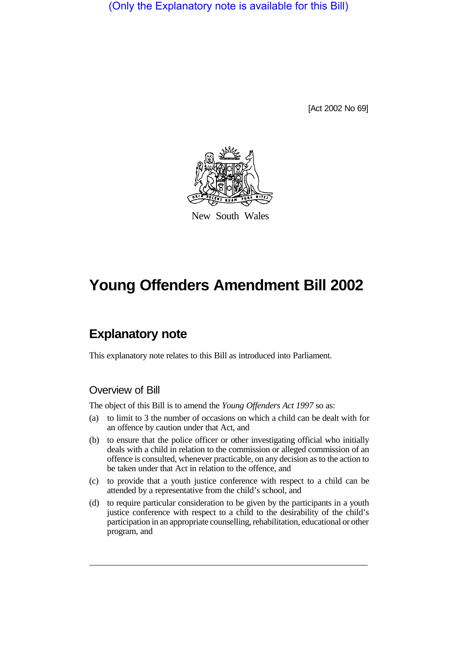(Only the Explanatory note is available for this Bill)

[Act 2002 No 69]



New South Wales

# **Young Offenders Amendment Bill 2002**

# **Explanatory note**

This explanatory note relates to this Bill as introduced into Parliament.

## Overview of Bill

The object of this Bill is to amend the *Young Offenders Act 1997* so as:

- (a) to limit to 3 the number of occasions on which a child can be dealt with for an offence by caution under that Act, and
- (b) to ensure that the police officer or other investigating official who initially deals with a child in relation to the commission or alleged commission of an offence is consulted, whenever practicable, on any decision as to the action to be taken under that Act in relation to the offence, and
- (c) to provide that a youth justice conference with respect to a child can be attended by a representative from the child's school, and
- (d) to require particular consideration to be given by the participants in a youth justice conference with respect to a child to the desirability of the child's participation in an appropriate counselling, rehabilitation, educational or other program, and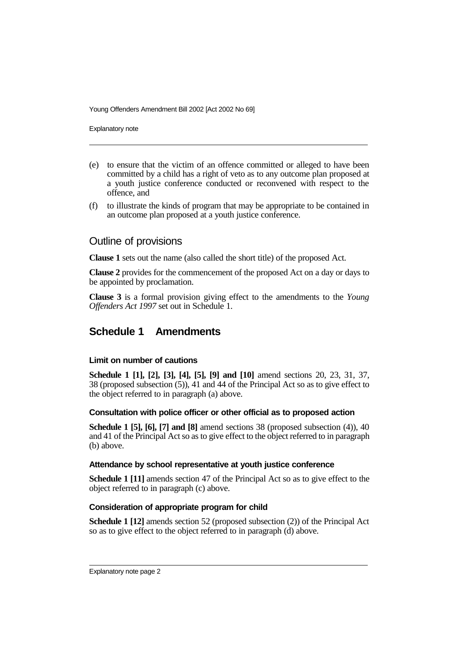Young Offenders Amendment Bill 2002 [Act 2002 No 69]

Explanatory note

- (e) to ensure that the victim of an offence committed or alleged to have been committed by a child has a right of veto as to any outcome plan proposed at a youth justice conference conducted or reconvened with respect to the offence, and
- (f) to illustrate the kinds of program that may be appropriate to be contained in an outcome plan proposed at a youth justice conference.

### Outline of provisions

**Clause 1** sets out the name (also called the short title) of the proposed Act.

**Clause 2** provides for the commencement of the proposed Act on a day or days to be appointed by proclamation.

**Clause 3** is a formal provision giving effect to the amendments to the *Young Offenders Act 1997* set out in Schedule 1.

# **Schedule 1 Amendments**

#### **Limit on number of cautions**

**Schedule 1 [1], [2], [3], [4], [5], [9] and [10]** amend sections 20, 23, 31, 37, 38 (proposed subsection (5)), 41 and 44 of the Principal Act so as to give effect to the object referred to in paragraph (a) above.

#### **Consultation with police officer or other official as to proposed action**

**Schedule 1 [5], [6], [7] and [8]** amend sections 38 (proposed subsection (4)), 40 and 41 of the Principal Act so as to give effect to the object referred to in paragraph (b) above.

#### **Attendance by school representative at youth justice conference**

**Schedule 1 [11]** amends section 47 of the Principal Act so as to give effect to the object referred to in paragraph (c) above.

#### **Consideration of appropriate program for child**

**Schedule 1 [12]** amends section 52 (proposed subsection (2)) of the Principal Act so as to give effect to the object referred to in paragraph (d) above.